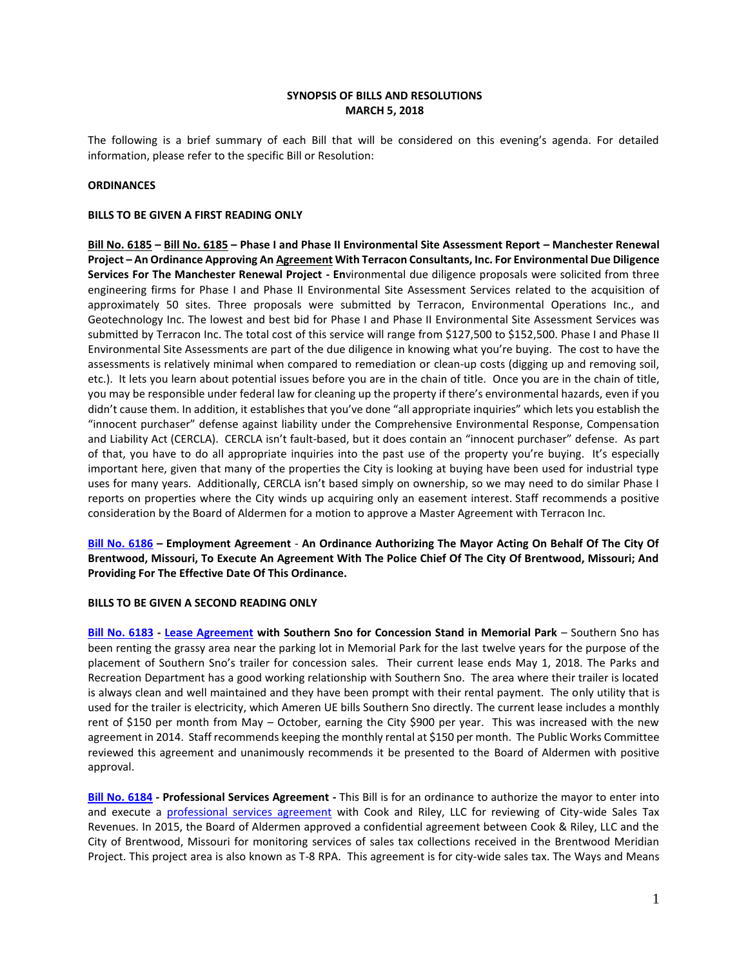# **SYNOPSIS OF BILLS AND RESOLUTIONS MARCH 5, 2018**

The following is a brief summary of each Bill that will be considered on this evening's agenda. For detailed information, please refer to the specific Bill or Resolution:

## **ORDINANCES**

### **BILLS TO BE GIVEN A FIRST READING ONLY**

**[Bill No. 6185](http://www.brentwoodmo.org/DocumentCenter/View/22584) – [Bill No. 6185](http://www.brentwoodmo.org/DocumentCenter/View/22584) – Phase I and Phase II Environmental Site Assessment Report – Manchester Renewal Project – An Ordinance Approving A[n Agreement](http://www.brentwoodmo.org/DocumentCenter/View/22585) With Terracon Consultants, Inc. For Environmental Due Diligence Services For The Manchester Renewal Project - En**vironmental due diligence proposals were solicited from three engineering firms for Phase I and Phase II Environmental Site Assessment Services related to the acquisition of approximately 50 sites. Three proposals were submitted by Terracon, Environmental Operations Inc., and Geotechnology Inc. The lowest and best bid for Phase I and Phase II Environmental Site Assessment Services was submitted by Terracon Inc. The total cost of this service will range from \$127,500 to \$152,500. Phase I and Phase II Environmental Site Assessments are part of the due diligence in knowing what you're buying. The cost to have the assessments is relatively minimal when compared to remediation or clean-up costs (digging up and removing soil, etc.). It lets you learn about potential issues before you are in the chain of title. Once you are in the chain of title, you may be responsible under federal law for cleaning up the property if there's environmental hazards, even if you didn't cause them. In addition, it establishes that you've done "all appropriate inquiries" which lets you establish the "innocent purchaser" defense against liability under the Comprehensive Environmental Response, Compensation and Liability Act (CERCLA). CERCLA isn't fault-based, but it does contain an "innocent purchaser" defense. As part of that, you have to do all appropriate inquiries into the past use of the property you're buying. It's especially important here, given that many of the properties the City is looking at buying have been used for industrial type uses for many years. Additionally, CERCLA isn't based simply on ownership, so we may need to do similar Phase I reports on properties where the City winds up acquiring only an easement interest. Staff recommends a positive consideration by the Board of Aldermen for a motion to approve a Master Agreement with Terracon Inc.

**[Bill No. 6186](http://www.brentwoodmo.org/DocumentCenter/View/22588) – Employment Agreement** - **An Ordinance Authorizing The Mayor Acting On Behalf Of The City Of Brentwood, Missouri, To Execute An Agreement With The Police Chief Of The City Of Brentwood, Missouri; And Providing For The Effective Date Of This Ordinance.** 

### **BILLS TO BE GIVEN A SECOND READING ONLY**

**[Bill No. 6183](http://www.brentwoodmo.org/DocumentCenter/View/22572) - [Lease Agreement](http://www.brentwoodmo.org/DocumentCenter/View/22571) with Southern Sno for Concession Stand in Memorial Park** – Southern Sno has been renting the grassy area near the parking lot in Memorial Park for the last twelve years for the purpose of the placement of Southern Sno's trailer for concession sales. Their current lease ends May 1, 2018. The Parks and Recreation Department has a good working relationship with Southern Sno. The area where their trailer is located is always clean and well maintained and they have been prompt with their rental payment. The only utility that is used for the trailer is electricity, which Ameren UE bills Southern Sno directly. The current lease includes a monthly rent of \$150 per month from May – October, earning the City \$900 per year. This was increased with the new agreement in 2014. Staff recommends keeping the monthly rental at \$150 per month. The Public Works Committee reviewed this agreement and unanimously recommends it be presented to the Board of Aldermen with positive approval.

**[Bill No. 6184](http://www.brentwoodmo.org/DocumentCenter/View/22576) - Professional Services Agreement -** This Bill is for an ordinance to authorize the mayor to enter into and execute a [professional services agreement](http://www.brentwoodmo.org/DocumentCenter/View/22582) with Cook and Riley, LLC for reviewing of City-wide Sales Tax Revenues. In 2015, the Board of Aldermen approved a confidential agreement between Cook & Riley, LLC and the City of Brentwood, Missouri for monitoring services of sales tax collections received in the Brentwood Meridian Project. This project area is also known as T-8 RPA.This agreement is for city-wide sales tax. The Ways and Means